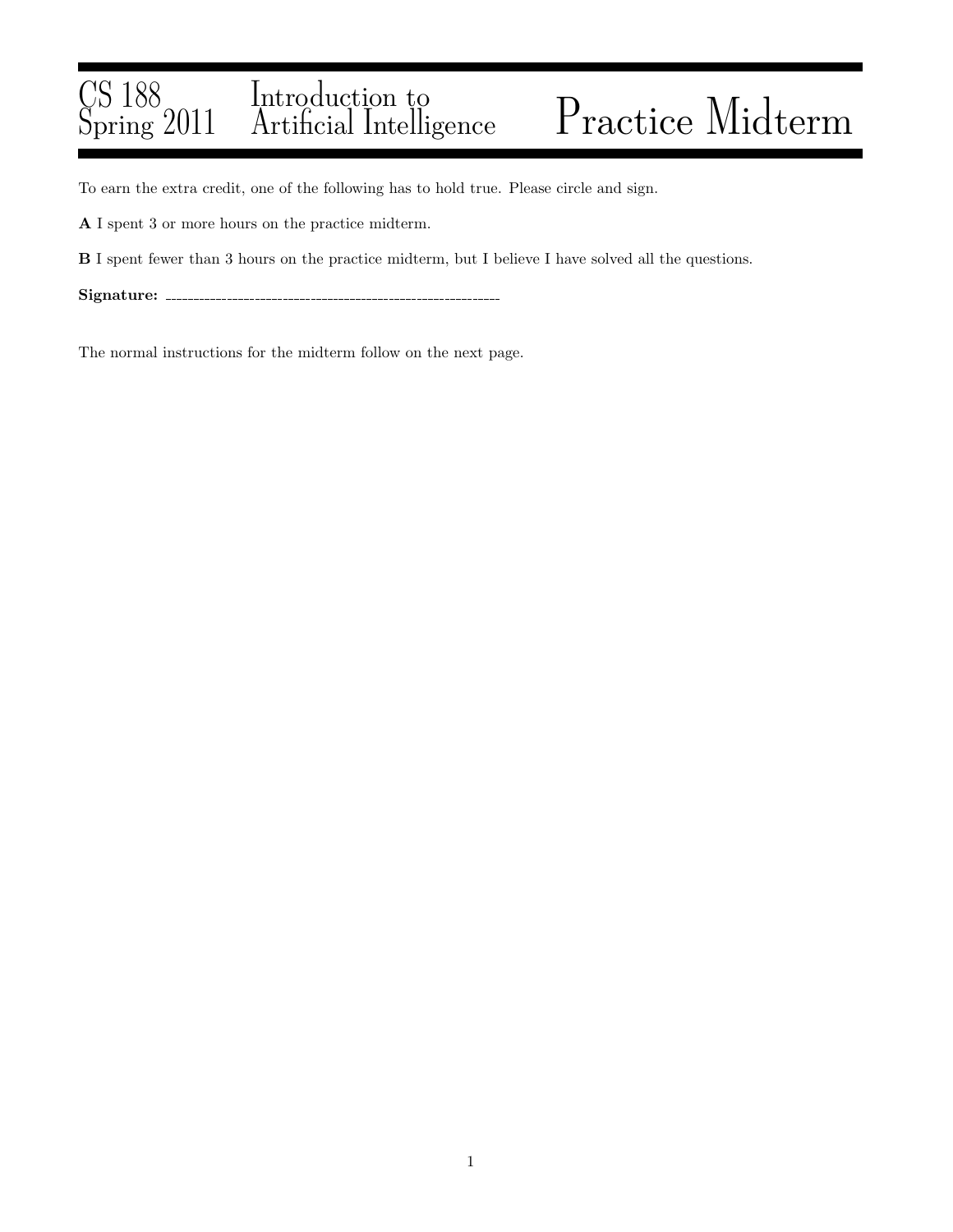#### CS 188 Spring 2011 Introduction to Practice Midterm

To earn the extra credit, one of the following has to hold true. Please circle and sign.

A I spent 3 or more hours on the practice midterm.

B I spent fewer than 3 hours on the practice midterm, but I believe I have solved all the questions.

Signature:

The normal instructions for the midterm follow on the next page.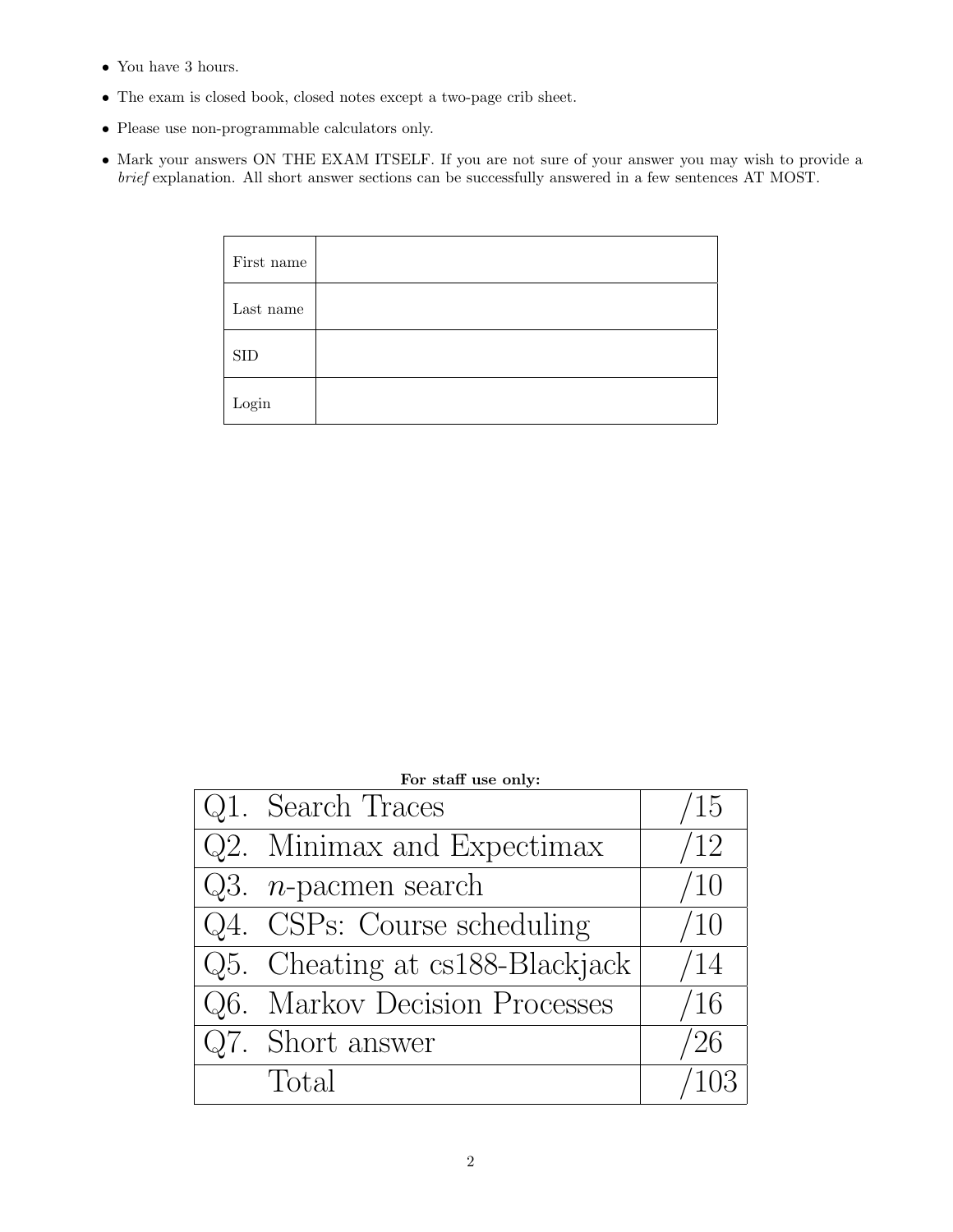- $\bullet\,$  You have 3 hours.
- The exam is closed book, closed notes except a two-page crib sheet.
- Please use non-programmable calculators only.
- Mark your answers ON THE EXAM ITSELF. If you are not sure of your answer you may wish to provide a brief explanation. All short answer sections can be successfully answered in a few sentences AT MOST.

| First name             |  |
|------------------------|--|
| Last name              |  |
| <b>SID</b>             |  |
| $\operatorname{Login}$ |  |

| For staff use only:             |             |  |  |  |  |
|---------------------------------|-------------|--|--|--|--|
| Q1. Search Traces               | $\sqrt{15}$ |  |  |  |  |
| Q2. Minimax and Expectimax      | /12         |  |  |  |  |
| Q3. <i>n</i> -pacmen search     | /10         |  |  |  |  |
| Q4. CSPs: Course scheduling     | /10         |  |  |  |  |
| Q5. Cheating at cs188-Blackjack | /14         |  |  |  |  |
| Q6. Markov Decision Processes   | /16         |  |  |  |  |
| Q7. Short answer                | '26         |  |  |  |  |
| Total                           |             |  |  |  |  |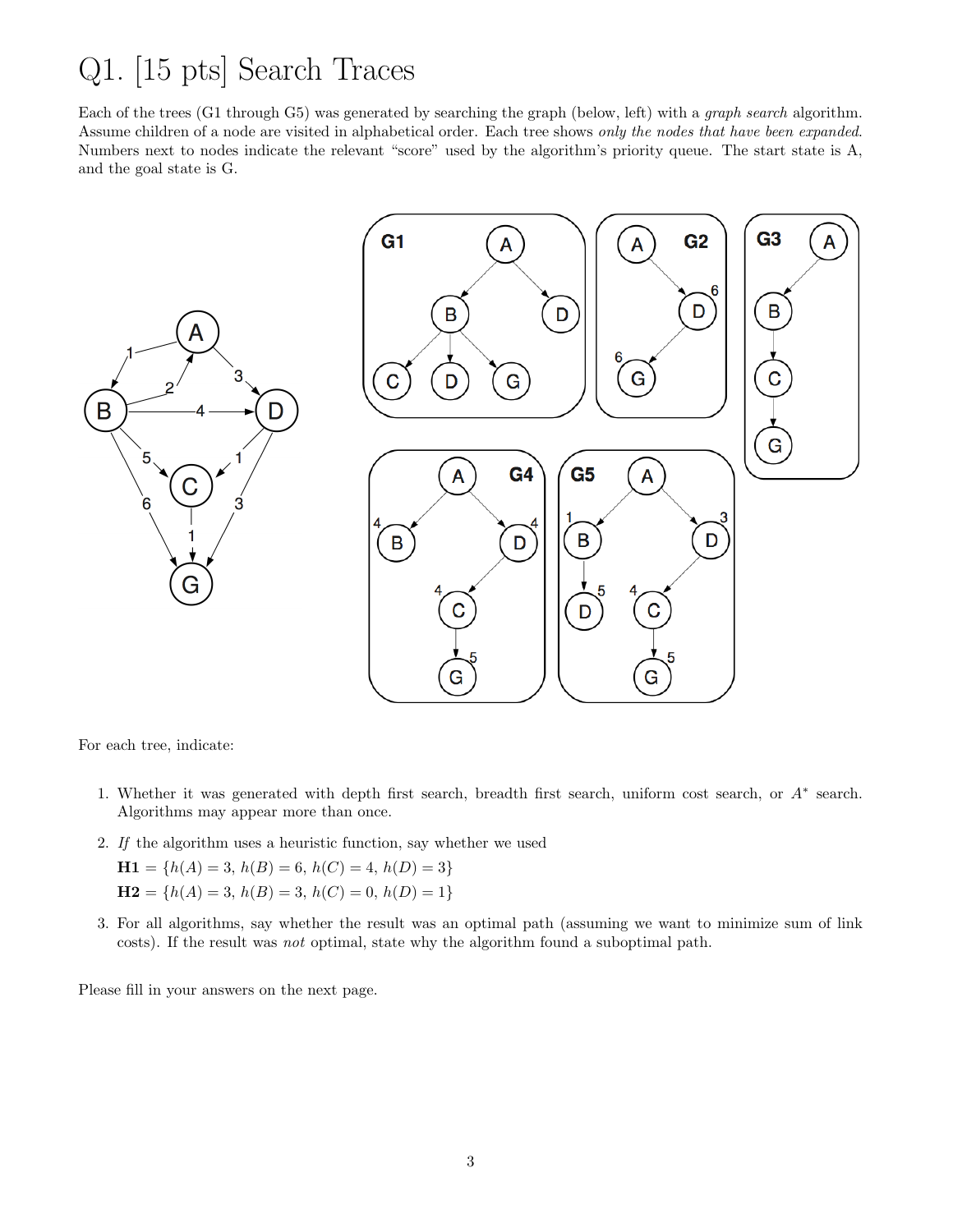#### Q1. [15 pts] Search Traces

Each of the trees (G1 through G5) was generated by searching the graph (below, left) with a graph search algorithm. Assume children of a node are visited in alphabetical order. Each tree shows only the nodes that have been expanded. Numbers next to nodes indicate the relevant "score" used by the algorithm's priority queue. The start state is A, and the goal state is G.



For each tree, indicate:

- 1. Whether it was generated with depth first search, breadth first search, uniform cost search, or A<sup>∗</sup> search. Algorithms may appear more than once.
- 2. If the algorithm uses a heuristic function, say whether we used

$$
H1 = \{h(A) = 3, h(B) = 6, h(C) = 4, h(D) = 3\}
$$
  

$$
H2 = \{h(A) = 3, h(B) = 3, h(C) = 0, h(D) = 1\}
$$

3. For all algorithms, say whether the result was an optimal path (assuming we want to minimize sum of link costs). If the result was not optimal, state why the algorithm found a suboptimal path.

Please fill in your answers on the next page.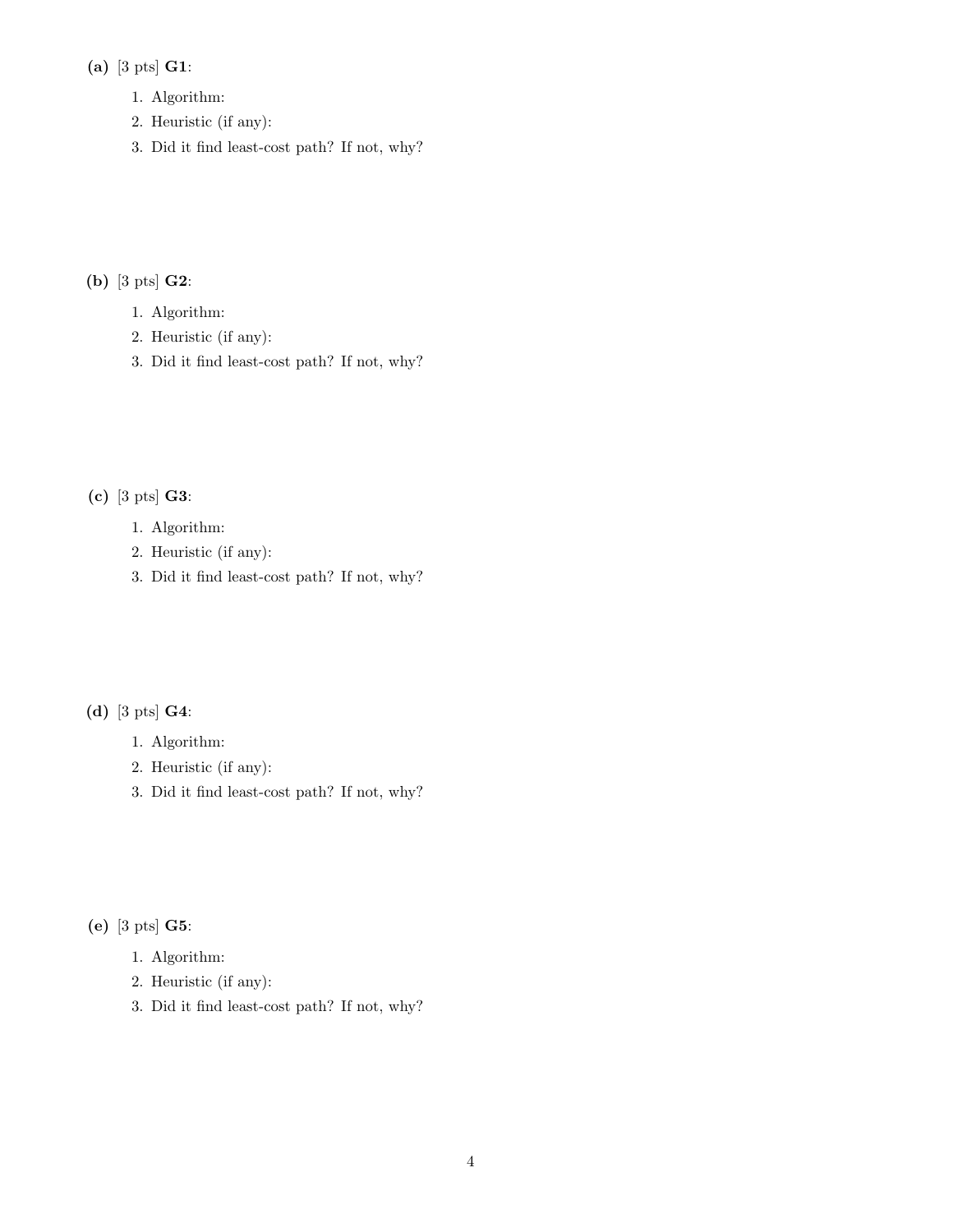#### (a) [3 pts] G1:

- 1. Algorithm:
- 2. Heuristic (if any):
- 3. Did it find least-cost path? If not, why?

(b) [3 pts] G2:

- 1. Algorithm:
- 2. Heuristic (if any):
- 3. Did it find least-cost path? If not, why?

(c) [3 pts] G3:

- 1. Algorithm:
- 2. Heuristic (if any):
- 3. Did it find least-cost path? If not, why?

(d) [3 pts] G4:

- 1. Algorithm:
- 2. Heuristic (if any):
- 3. Did it find least-cost path? If not, why?

(e) [3 pts] G5:

- 1. Algorithm:
- 2. Heuristic (if any):
- 3. Did it find least-cost path? If not, why?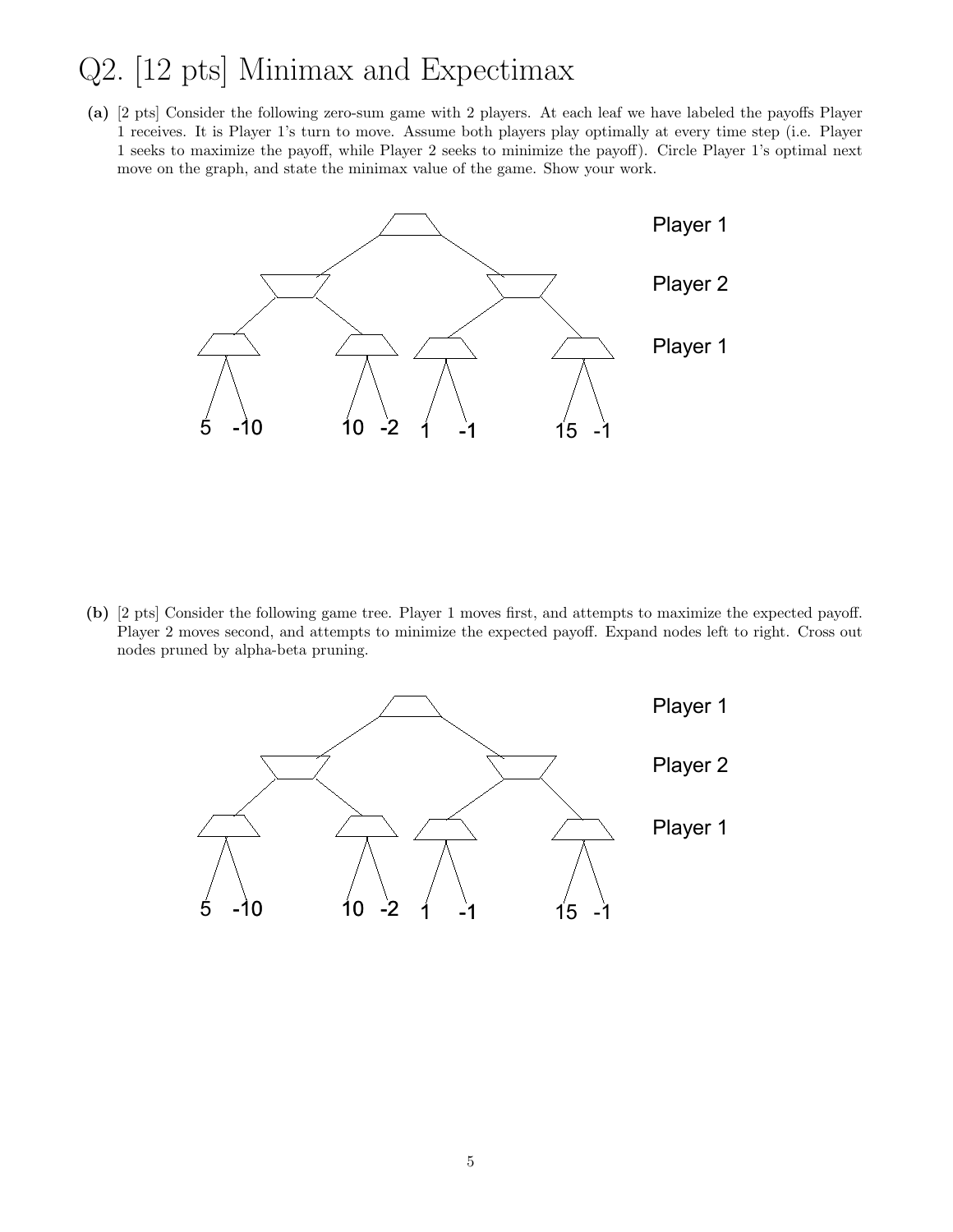# Q2. [12 pts] Minimax and Expectimax

(a) [2 pts] Consider the following zero-sum game with 2 players. At each leaf we have labeled the payoffs Player 1 receives. It is Player 1's turn to move. Assume both players play optimally at every time step (i.e. Player 1 seeks to maximize the payoff, while Player 2 seeks to minimize the payoff). Circle Player 1's optimal next move on the graph, and state the minimax value of the game. Show your work.



(b) [2 pts] Consider the following game tree. Player 1 moves first, and attempts to maximize the expected payoff. Player 2 moves second, and attempts to minimize the expected payoff. Expand nodes left to right. Cross out nodes pruned by alpha-beta pruning.

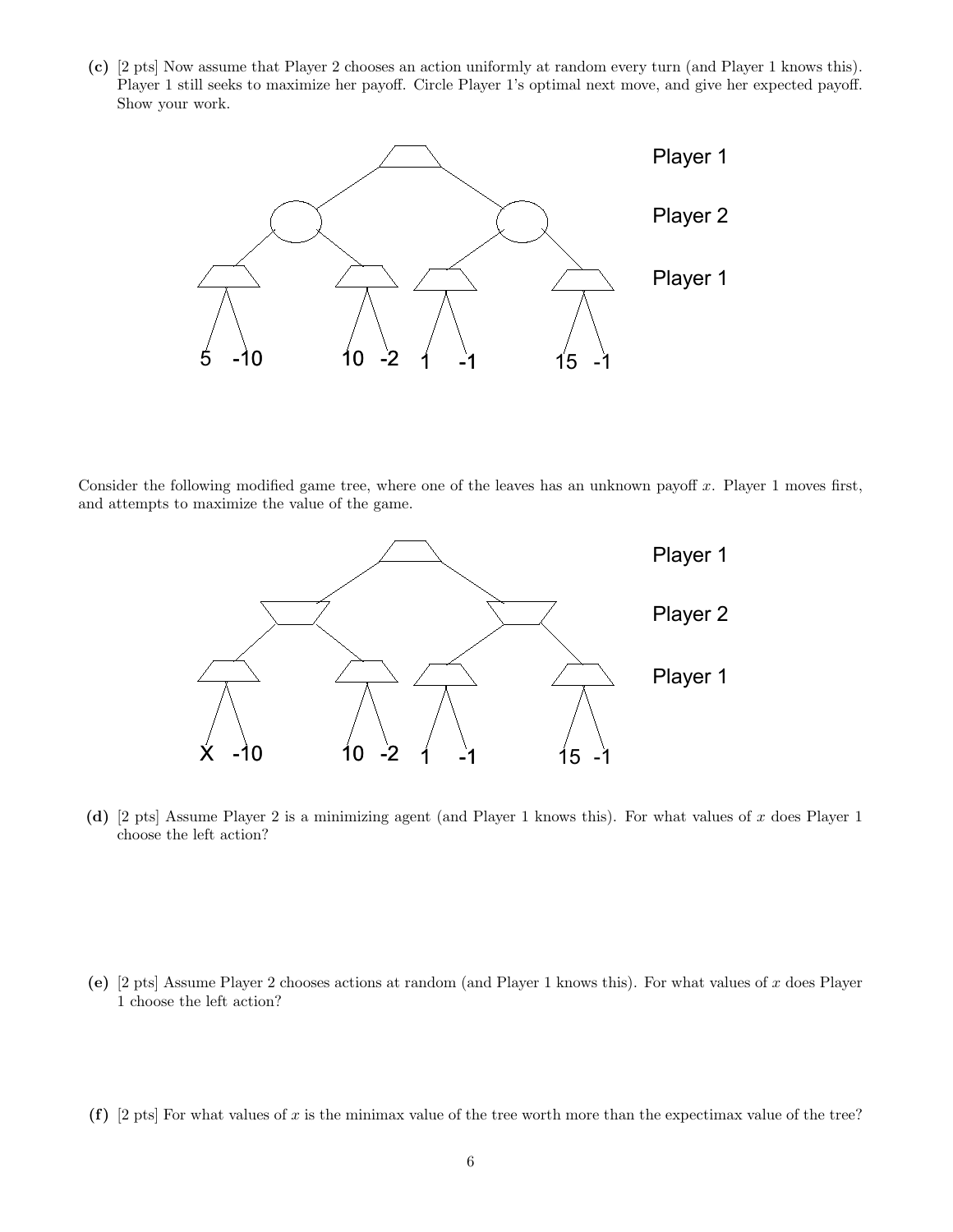(c) [2 pts] Now assume that Player 2 chooses an action uniformly at random every turn (and Player 1 knows this). Player 1 still seeks to maximize her payoff. Circle Player 1's optimal next move, and give her expected payoff. Show your work.



Consider the following modified game tree, where one of the leaves has an unknown payoff  $x$ . Player 1 moves first, and attempts to maximize the value of the game.



(d) [2 pts] Assume Player 2 is a minimizing agent (and Player 1 knows this). For what values of x does Player 1 choose the left action?

- (e) [2 pts] Assume Player 2 chooses actions at random (and Player 1 knows this). For what values of x does Player 1 choose the left action?
- (f) [2 pts] For what values of x is the minimax value of the tree worth more than the expectimax value of the tree?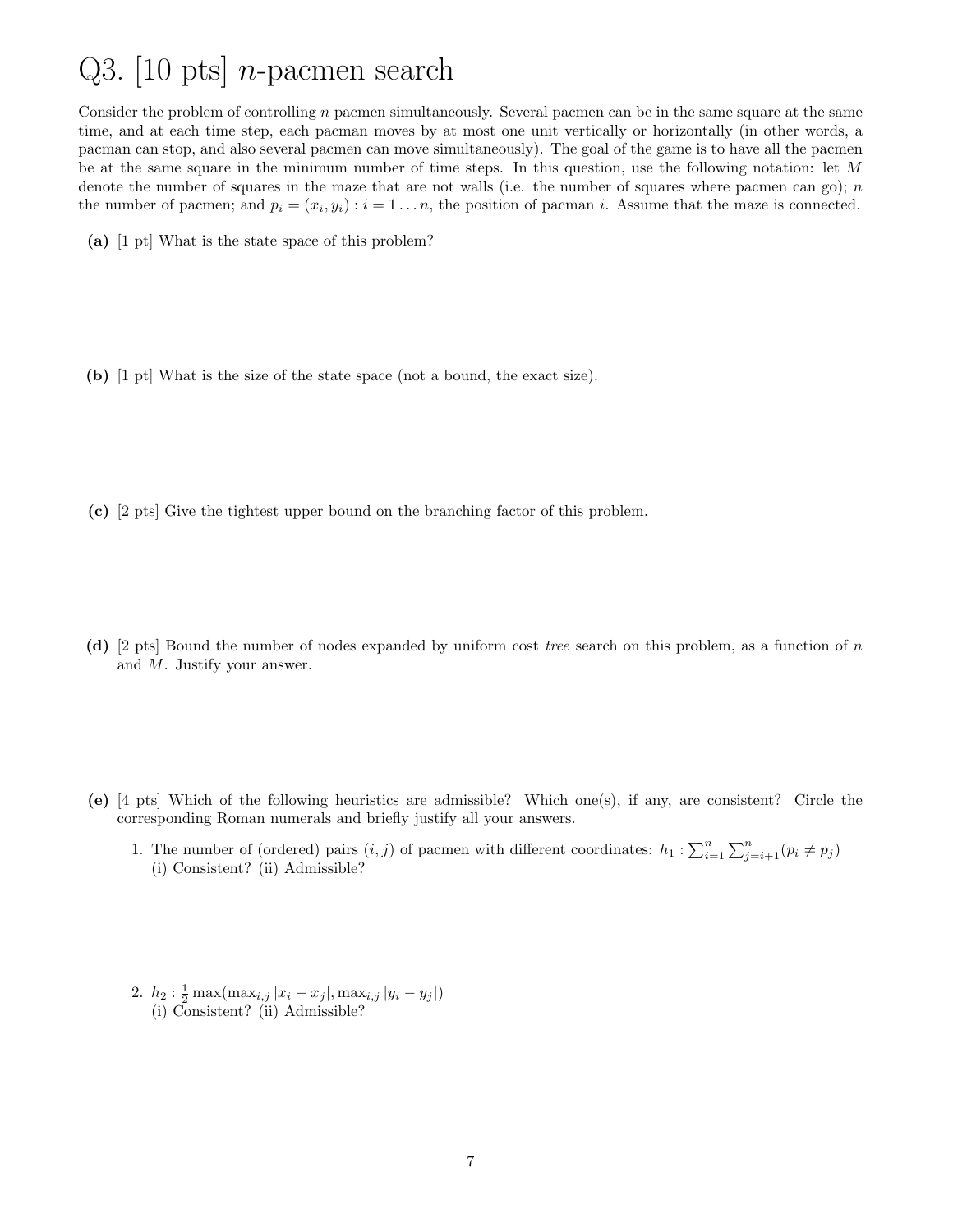# Q3. [10 pts] *n*-pacmen search

Consider the problem of controlling  $n$  pacmen simultaneously. Several pacmen can be in the same square at the same time, and at each time step, each pacman moves by at most one unit vertically or horizontally (in other words, a pacman can stop, and also several pacmen can move simultaneously). The goal of the game is to have all the pacmen be at the same square in the minimum number of time steps. In this question, use the following notation: let M denote the number of squares in the maze that are not walls (i.e. the number of squares where pacmen can go);  $n$ the number of pacmen; and  $p_i = (x_i, y_i) : i = 1 \dots n$ , the position of pacman i. Assume that the maze is connected.

- (a) [1 pt] What is the state space of this problem?
- (b) [1 pt] What is the size of the state space (not a bound, the exact size).
- (c) [2 pts] Give the tightest upper bound on the branching factor of this problem.
- (d) [2 pts] Bound the number of nodes expanded by uniform cost tree search on this problem, as a function of n and M. Justify your answer.
- (e) [4 pts] Which of the following heuristics are admissible? Which one(s), if any, are consistent? Circle the corresponding Roman numerals and briefly justify all your answers.
	- 1. The number of (ordered) pairs  $(i, j)$  of pacmen with different coordinates:  $h_1 : \sum_{i=1}^n \sum_{j=i+1}^n (p_i \neq p_j)$ (i) Consistent? (ii) Admissible?
	- 2.  $h_2: \frac{1}{2} \max(\max_{i,j} |x_i x_j|, \max_{i,j} |y_i y_j|)$ (i) Consistent? (ii) Admissible?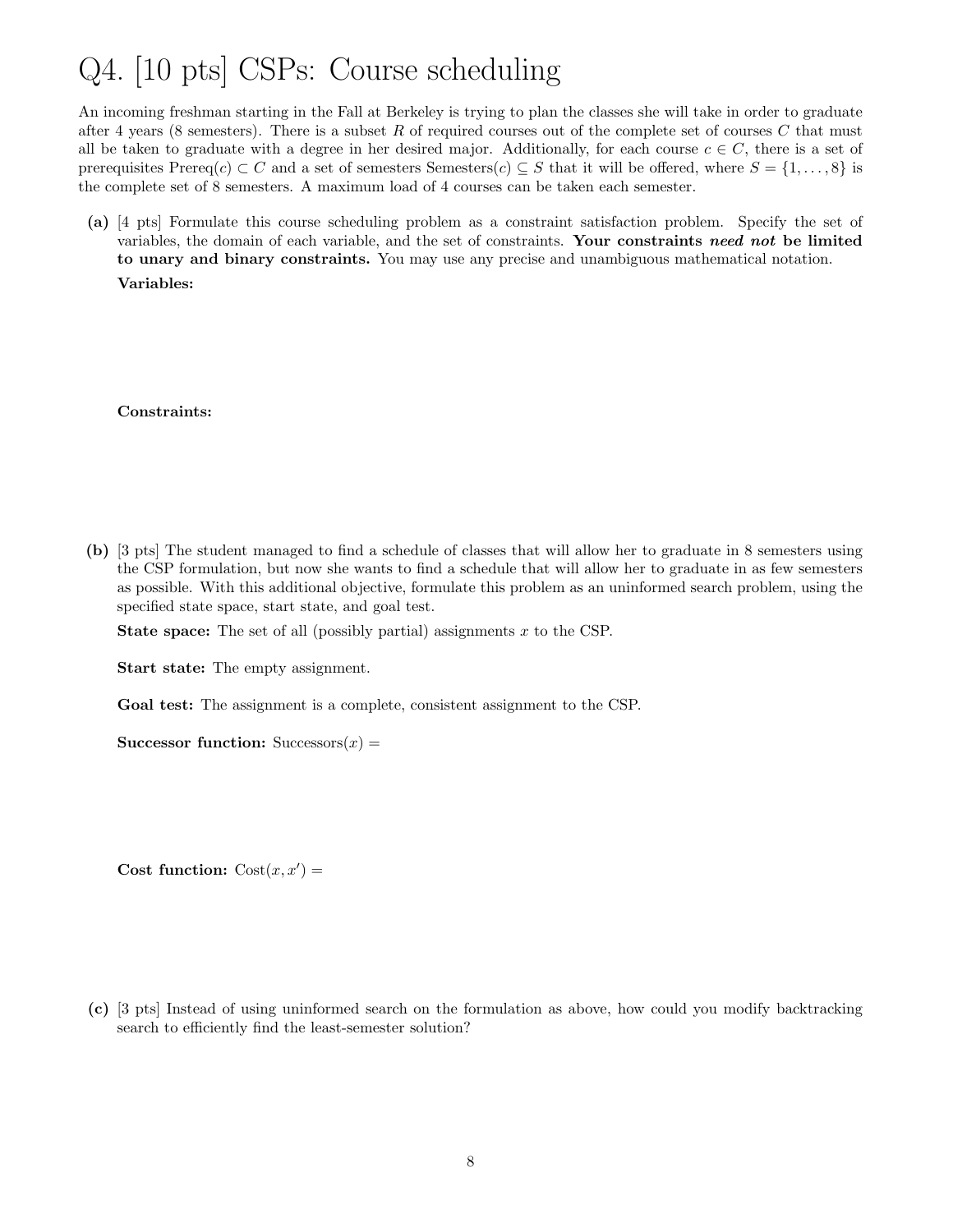### Q4. [10 pts] CSPs: Course scheduling

An incoming freshman starting in the Fall at Berkeley is trying to plan the classes she will take in order to graduate after 4 years (8 semesters). There is a subset R of required courses out of the complete set of courses C that must all be taken to graduate with a degree in her desired major. Additionally, for each course  $c \in C$ , there is a set of prerequisites Prereq(c) ⊂ C and a set of semesters Semesters(c) ⊆ S that it will be offered, where  $S = \{1, \ldots, 8\}$  is the complete set of 8 semesters. A maximum load of 4 courses can be taken each semester.

(a) [4 pts] Formulate this course scheduling problem as a constraint satisfaction problem. Specify the set of variables, the domain of each variable, and the set of constraints. Your constraints need not be limited to unary and binary constraints. You may use any precise and unambiguous mathematical notation. Variables:

#### Constraints:

(b) [3 pts] The student managed to find a schedule of classes that will allow her to graduate in 8 semesters using the CSP formulation, but now she wants to find a schedule that will allow her to graduate in as few semesters as possible. With this additional objective, formulate this problem as an uninformed search problem, using the specified state space, start state, and goal test.

**State space:** The set of all (possibly partial) assignments  $x$  to the CSP.

Start state: The empty assignment.

Goal test: The assignment is a complete, consistent assignment to the CSP.

Successor function:  $Successors(x) =$ 

Cost function:  $Cost(x, x') =$ 

(c) [3 pts] Instead of using uninformed search on the formulation as above, how could you modify backtracking search to efficiently find the least-semester solution?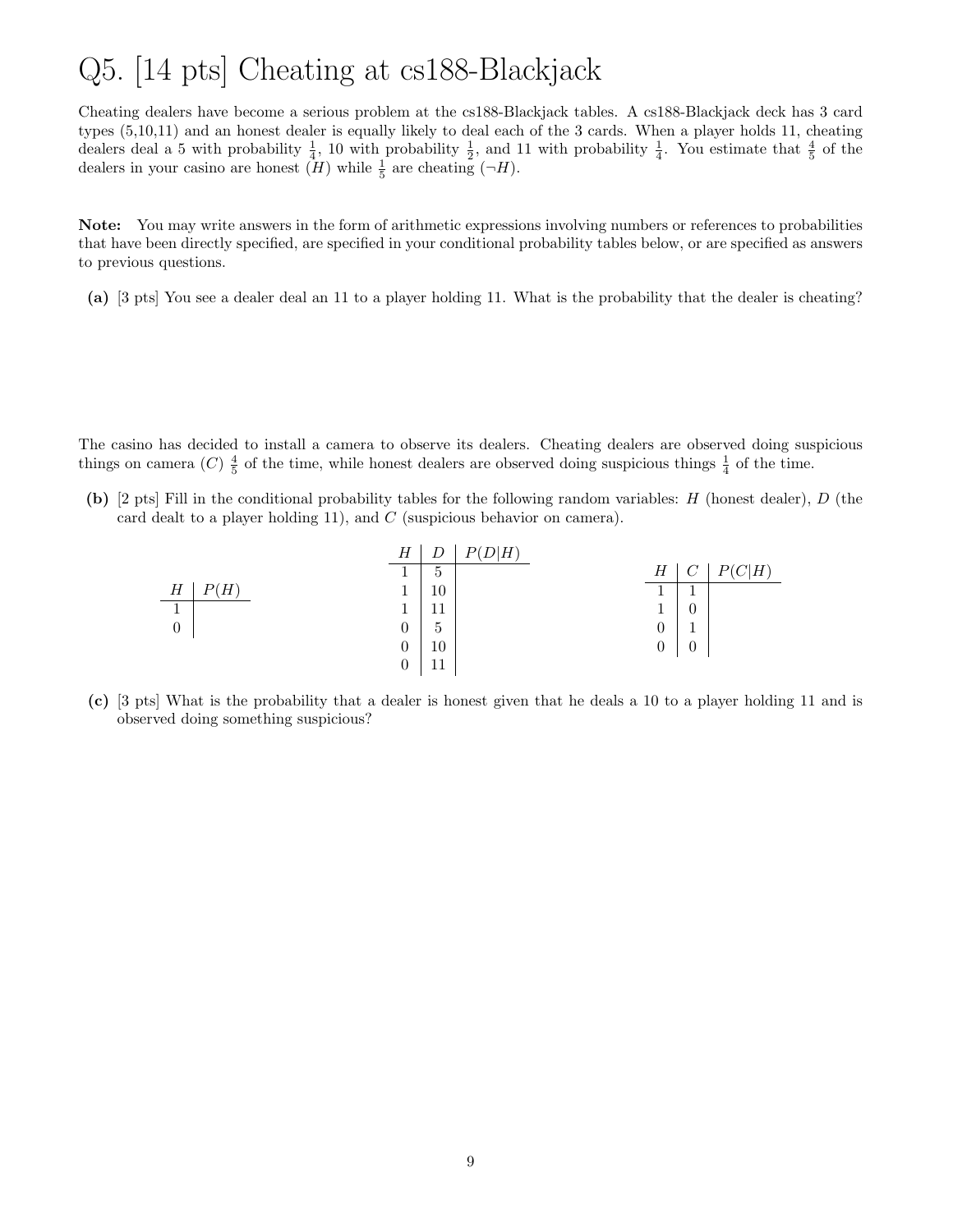### Q5. [14 pts] Cheating at cs188-Blackjack

Cheating dealers have become a serious problem at the cs188-Blackjack tables. A cs188-Blackjack deck has 3 card types (5,10,11) and an honest dealer is equally likely to deal each of the 3 cards. When a player holds 11, cheating dealers deal a 5 with probability  $\frac{1}{4}$ , 10 with probability  $\frac{1}{2}$ , and 11 with probability  $\frac{1}{4}$ . You estimate that  $\frac{4}{5}$  of the dealers in your casino are honest  $(H)$  while  $\frac{1}{5}$  are cheating  $(\neg H)$ .

Note: You may write answers in the form of arithmetic expressions involving numbers or references to probabilities that have been directly specified, are specified in your conditional probability tables below, or are specified as answers to previous questions.

(a) [3 pts] You see a dealer deal an 11 to a player holding 11. What is the probability that the dealer is cheating?

The casino has decided to install a camera to observe its dealers. Cheating dealers are observed doing suspicious things on camera (C)  $\frac{4}{5}$  of the time, while honest dealers are observed doing suspicious things  $\frac{1}{4}$  of the time.

(b) [2 pts] Fill in the conditional probability tables for the following random variables: H (honest dealer), D (the card dealt to a player holding 11), and  $C$  (suspicious behavior on camera).

|          |             | $\boldsymbol{H}$ | D  | P(D H) |                |          |                    |
|----------|-------------|------------------|----|--------|----------------|----------|--------------------|
|          |             |                  | 5  |        | Н              |          | $ C H\rangle$<br>D |
| Н        | $H^{\cdot}$ |                  | 10 |        |                |          |                    |
| -1       |             |                  | -1 |        | 1              |          |                    |
| $\theta$ |             | $\boldsymbol{0}$ | b  |        | $\overline{0}$ |          |                    |
|          |             | $\overline{0}$   | 10 |        | 0              | $\theta$ |                    |
|          |             |                  | -1 |        |                |          |                    |

(c) [3 pts] What is the probability that a dealer is honest given that he deals a 10 to a player holding 11 and is observed doing something suspicious?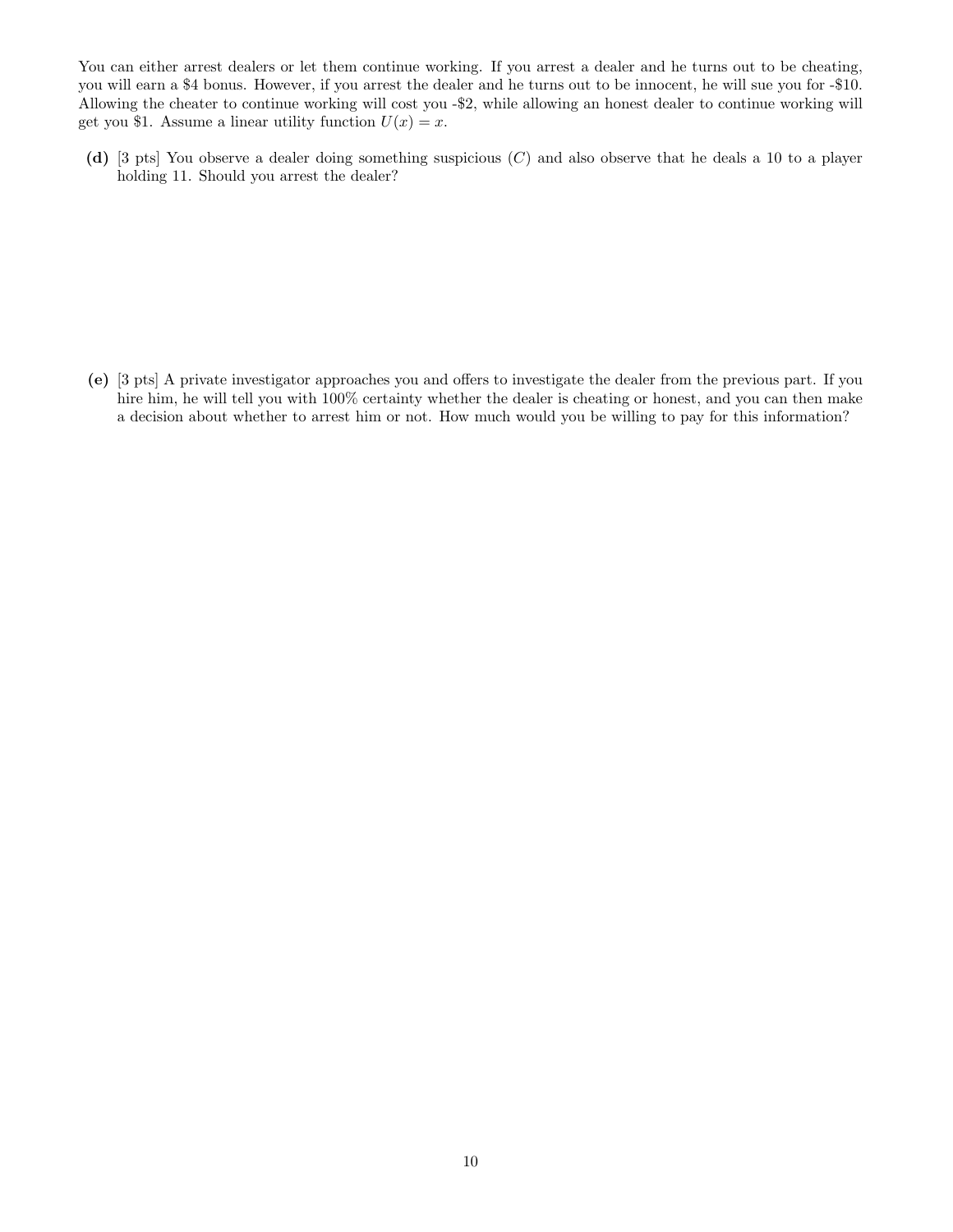You can either arrest dealers or let them continue working. If you arrest a dealer and he turns out to be cheating, you will earn a \$4 bonus. However, if you arrest the dealer and he turns out to be innocent, he will sue you for -\$10. Allowing the cheater to continue working will cost you -\$2, while allowing an honest dealer to continue working will get you \$1. Assume a linear utility function  $U(x) = x$ .

(d) [3 pts] You observe a dealer doing something suspicious (C) and also observe that he deals a 10 to a player holding 11. Should you arrest the dealer?

(e) [3 pts] A private investigator approaches you and offers to investigate the dealer from the previous part. If you hire him, he will tell you with  $100\%$  certainty whether the dealer is cheating or honest, and you can then make a decision about whether to arrest him or not. How much would you be willing to pay for this information?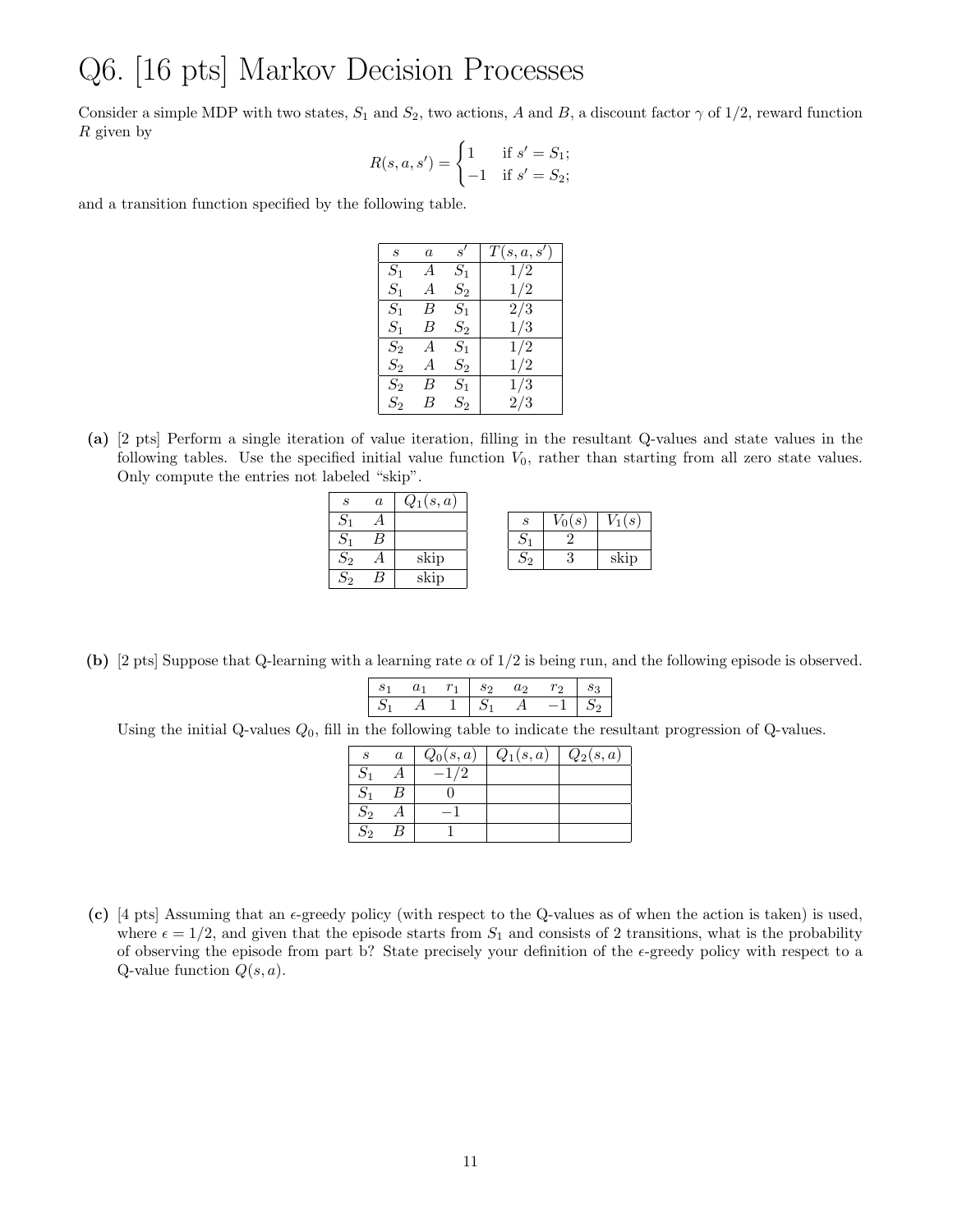#### Q6. [16 pts] Markov Decision Processes

Consider a simple MDP with two states,  $S_1$  and  $S_2$ , two actions, A and B, a discount factor  $\gamma$  of 1/2, reward function R given by

$$
R(s, a, s') = \begin{cases} 1 & \text{if } s' = S_1; \\ -1 & \text{if } s' = S_2; \end{cases}
$$

and a transition function specified by the following table.

| $\boldsymbol{s}$ | $\alpha$ | s'      | T(s, a, s') |
|------------------|----------|---------|-------------|
| $S_1$            | А        | $S_1$   | 1/2         |
| $S_{1}$          | А        | $S_{2}$ | 1/2         |
| $S_1$            | В        | $S_1$   | 2/3         |
| $S_1$            | В        | $S_2\,$ | 1/3         |
| $S_2$            | А        | $S_1$   | 1/2         |
| $S_2$            | А        | $S_2\,$ | 1/2         |
| $S_2$            | В        | $S_{1}$ | 1/3         |
| $S_2$            | В        | $S_2$   | 2/3         |

(a) [2 pts] Perform a single iteration of value iteration, filling in the resultant Q-values and state values in the following tables. Use the specified initial value function  $V_0$ , rather than starting from all zero state values. Only compute the entries not labeled "skip".

| S              | $\boldsymbol{a}$ | $Q_1(s,a)$ |                  |    |      |
|----------------|------------------|------------|------------------|----|------|
|                |                  |            | $\boldsymbol{s}$ | (s | (s)  |
|                |                  |            |                  |    |      |
| $\mathcal{D}2$ |                  | skip       | Ο2               | υ  | skip |
| פר             |                  | skip       |                  |    |      |

(b) [2 pts] Suppose that Q-learning with a learning rate  $\alpha$  of  $1/2$  is being run, and the following episode is observed.

| ັ |  | ಲ |     | -3 |
|---|--|---|-----|----|
|   |  |   | - - |    |

Using the initial Q-values  $Q_0$ , fill in the following table to indicate the resultant progression of Q-values.

| $\epsilon$         | $\boldsymbol{a}$ | $Q_0(s,a)$ | $Q_1(s,a)$ | $Q_2(s,a)$ |
|--------------------|------------------|------------|------------|------------|
|                    |                  |            |            |            |
|                    |                  |            |            |            |
| $\scriptstyle S_2$ |                  |            |            |            |
| $\overline{S_2}$   |                  |            |            |            |

(c)  $[4 \text{ pts}]$  Assuming that an  $\epsilon$ -greedy policy (with respect to the Q-values as of when the action is taken) is used, where  $\epsilon = 1/2$ , and given that the episode starts from  $S_1$  and consists of 2 transitions, what is the probability of observing the episode from part b? State precisely your definition of the  $\epsilon$ -greedy policy with respect to a Q-value function  $Q(s, a)$ .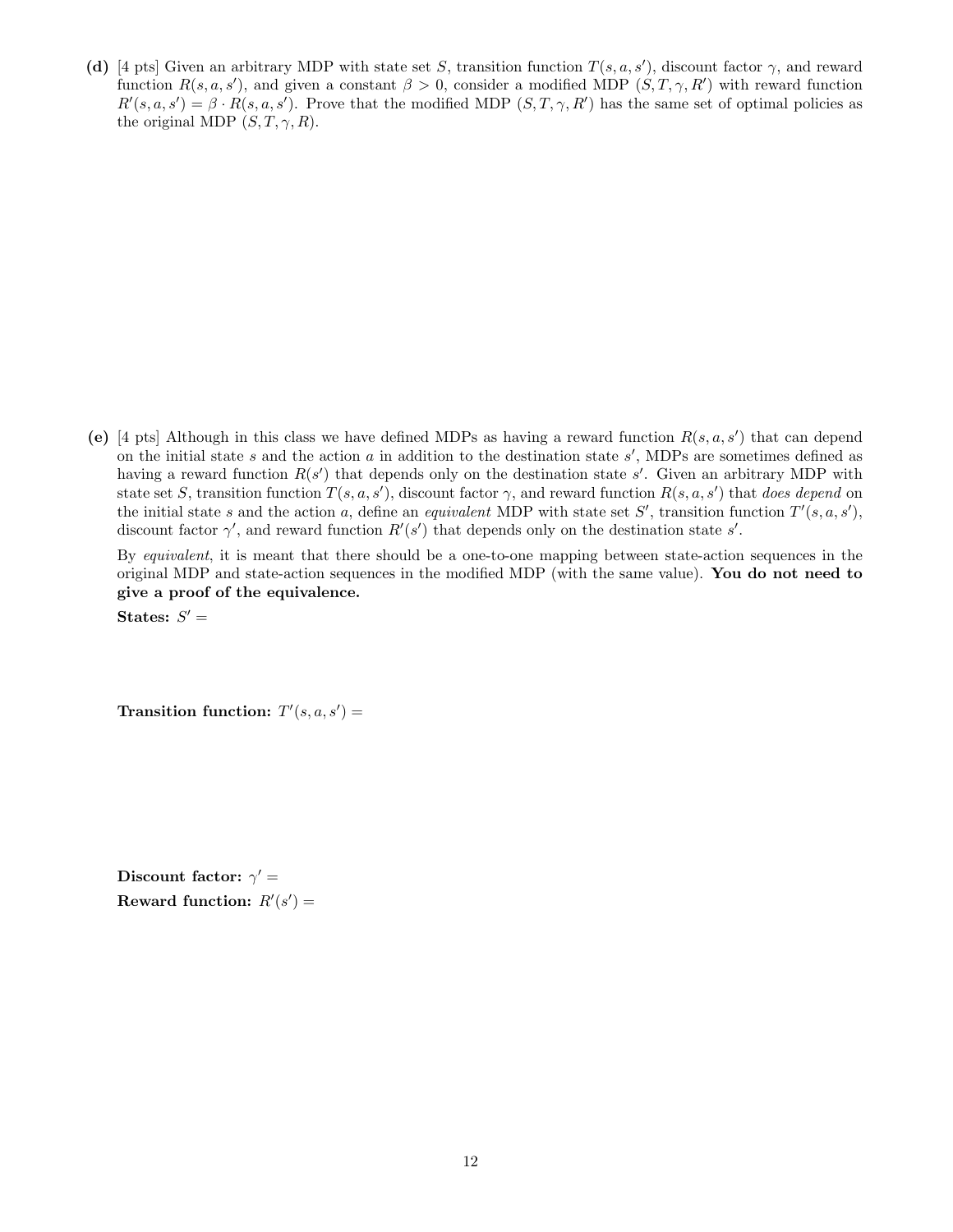(d) [4 pts] Given an arbitrary MDP with state set S, transition function  $T(s, a, s')$ , discount factor  $\gamma$ , and reward function  $R(s, a, s')$ , and given a constant  $\beta > 0$ , consider a modified MDP  $(S, T, \gamma, R')$  with reward function  $R'(s, a, s') = \beta \cdot R(s, a, s')$ . Prove that the modified MDP  $(S, T, \gamma, R')$  has the same set of optimal policies as the original MDP  $(S, T, \gamma, R)$ .

(e) [4 pts] Although in this class we have defined MDPs as having a reward function  $R(s, a, s')$  that can depend on the initial state  $s$  and the action  $a$  in addition to the destination state  $s'$ , MDPs are sometimes defined as having a reward function  $R(s')$  that depends only on the destination state s'. Given an arbitrary MDP with state set S, transition function  $T(s, a, s')$ , discount factor  $\gamma$ , and reward function  $R(s, a, s')$  that does depend on the initial state s and the action a, define an *equivalent* MDP with state set S', transition function  $T'(s, a, s')$ , discount factor  $\gamma'$ , and reward function  $R'(s')$  that depends only on the destination state s'.

By equivalent, it is meant that there should be a one-to-one mapping between state-action sequences in the original MDP and state-action sequences in the modified MDP (with the same value). You do not need to give a proof of the equivalence.

States:  $S' =$ 

Transition function:  $T'(s, a, s') =$ 

Discount factor:  $\gamma' =$ Reward function:  $R'(s') =$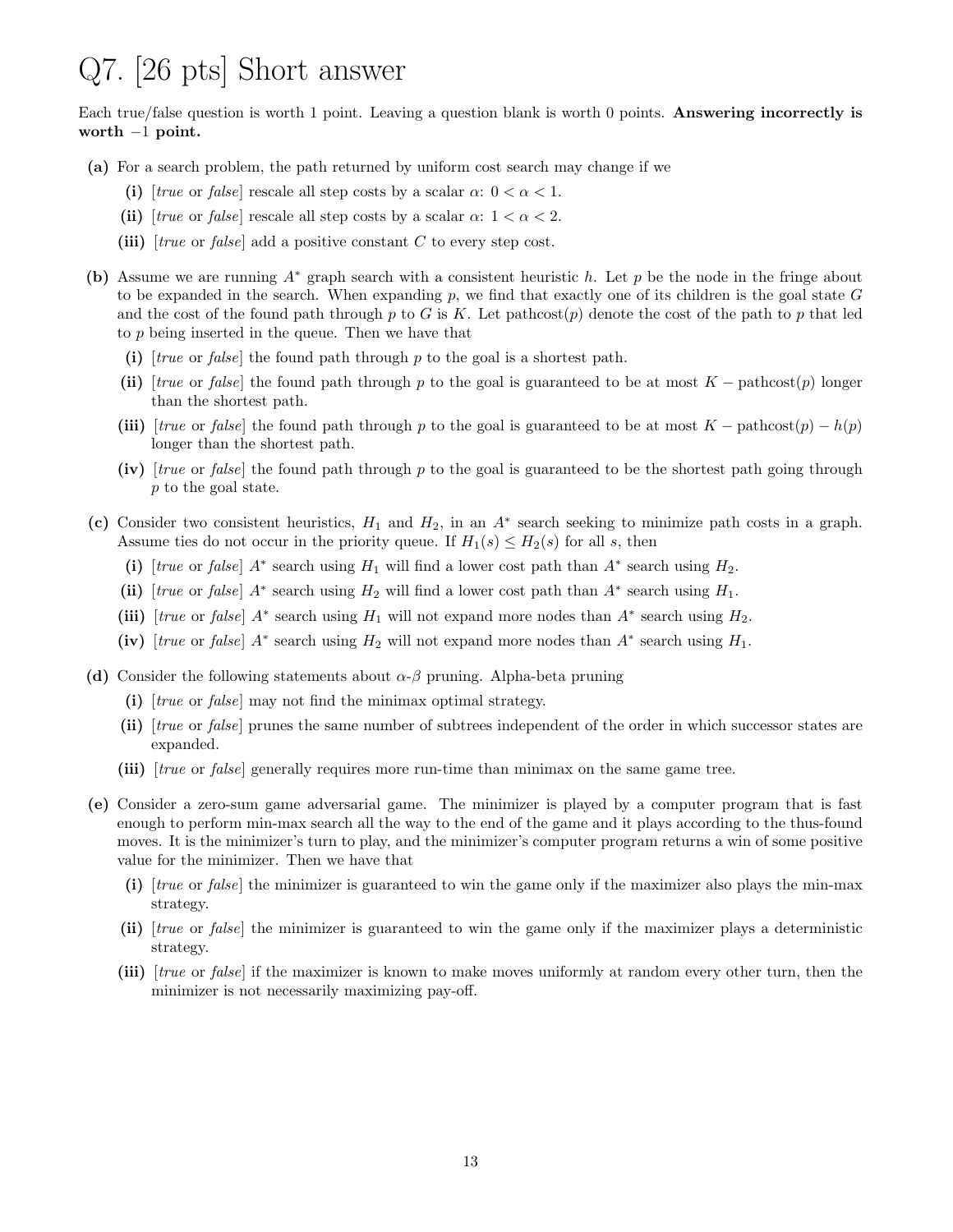### Q7. [26 pts] Short answer

Each true/false question is worth 1 point. Leaving a question blank is worth 0 points. Answering incorrectly is worth  $-1$  point.

- (a) For a search problem, the path returned by uniform cost search may change if we
	- (i) [true or false] rescale all step costs by a scalar  $\alpha: 0 < \alpha < 1$ .
	- (ii) [true or false] rescale all step costs by a scalar  $\alpha$ :  $1 < \alpha < 2$ .
	- (iii)  $[true \text{ or } false]$  add a positive constant C to every step cost.
- (b) Assume we are running A<sup>∗</sup> graph search with a consistent heuristic h. Let p be the node in the fringe about to be expanded in the search. When expanding  $p$ , we find that exactly one of its children is the goal state  $G$ and the cost of the found path through p to G is K. Let pathcost $(p)$  denote the cost of the path to p that led to p being inserted in the queue. Then we have that
	- (i)  $[true \text{ or } false]$  the found path through p to the goal is a shortest path.
	- (ii) [true or false] the found path through p to the goal is guaranteed to be at most  $K$  − pathcost(p) longer than the shortest path.
	- (iii)  $[true \text{ or } false]$  the found path through p to the goal is guaranteed to be at most  $K -$  pathcost $(p) h(p)$ longer than the shortest path.
	- (iv) [true or false] the found path through p to the goal is guaranteed to be the shortest path going through p to the goal state.
- (c) Consider two consistent heuristics,  $H_1$  and  $H_2$ , in an  $A^*$  search seeking to minimize path costs in a graph. Assume ties do not occur in the priority queue. If  $H_1(s) \leq H_2(s)$  for all s, then
	- (i) [true or false]  $A^*$  search using  $H_1$  will find a lower cost path than  $A^*$  search using  $H_2$ .
	- (ii) [true or false]  $A^*$  search using  $H_2$  will find a lower cost path than  $A^*$  search using  $H_1$ .
	- (iii) [true or false]  $A^*$  search using  $H_1$  will not expand more nodes than  $A^*$  search using  $H_2$ .
	- (iv) [true or false]  $A^*$  search using  $H_2$  will not expand more nodes than  $A^*$  search using  $H_1$ .
- (d) Consider the following statements about  $\alpha$ - $\beta$  pruning. Alpha-beta pruning
	- (i) [true or false] may not find the minimax optimal strategy.
	- (ii) [true or false] prunes the same number of subtrees independent of the order in which successor states are expanded.
	- (iii) [true or false] generally requires more run-time than minimax on the same game tree.
- (e) Consider a zero-sum game adversarial game. The minimizer is played by a computer program that is fast enough to perform min-max search all the way to the end of the game and it plays according to the thus-found moves. It is the minimizer's turn to play, and the minimizer's computer program returns a win of some positive value for the minimizer. Then we have that
	- (i) [true or false] the minimizer is guaranteed to win the game only if the maximizer also plays the min-max strategy.
	- (ii) [true or false] the minimizer is guaranteed to win the game only if the maximizer plays a deterministic strategy.
	- (iii) [true or false] if the maximizer is known to make moves uniformly at random every other turn, then the minimizer is not necessarily maximizing pay-off.